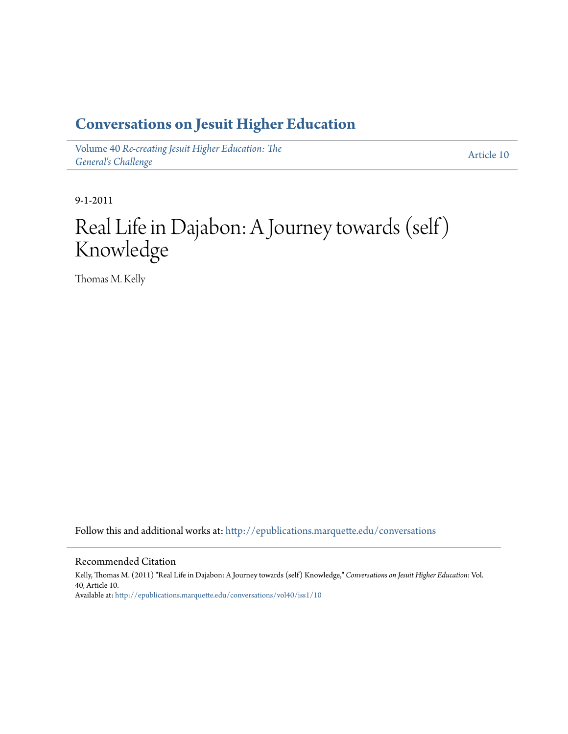#### **[Conversations on Jesuit Higher Education](http://epublications.marquette.edu/conversations?utm_source=epublications.marquette.edu%2Fconversations%2Fvol40%2Fiss1%2F10&utm_medium=PDF&utm_campaign=PDFCoverPages)**

Volume 40 *[Re-creating Jesuit Higher Education: The](http://epublications.marquette.edu/conversations/vol40?utm_source=epublications.marquette.edu%2Fconversations%2Fvol40%2Fiss1%2F10&utm_medium=PDF&utm_campaign=PDFCoverPages) [General's Challenge](http://epublications.marquette.edu/conversations/vol40?utm_source=epublications.marquette.edu%2Fconversations%2Fvol40%2Fiss1%2F10&utm_medium=PDF&utm_campaign=PDFCoverPages)*

[Article 10](http://epublications.marquette.edu/conversations/vol40/iss1/10?utm_source=epublications.marquette.edu%2Fconversations%2Fvol40%2Fiss1%2F10&utm_medium=PDF&utm_campaign=PDFCoverPages)

9-1-2011

### Real Life in Dajabon: A Journey towards (self) Knowledge

Thomas M. Kelly

Follow this and additional works at: [http://epublications.marquette.edu/conversations](http://epublications.marquette.edu/conversations?utm_source=epublications.marquette.edu%2Fconversations%2Fvol40%2Fiss1%2F10&utm_medium=PDF&utm_campaign=PDFCoverPages)

#### Recommended Citation

Kelly, Thomas M. (2011) "Real Life in Dajabon: A Journey towards (self) Knowledge," *Conversations on Jesuit Higher Education*: Vol. 40, Article 10. Available at: [http://epublications.marquette.edu/conversations/vol40/iss1/10](http://epublications.marquette.edu/conversations/vol40/iss1/10?utm_source=epublications.marquette.edu%2Fconversations%2Fvol40%2Fiss1%2F10&utm_medium=PDF&utm_campaign=PDFCoverPages)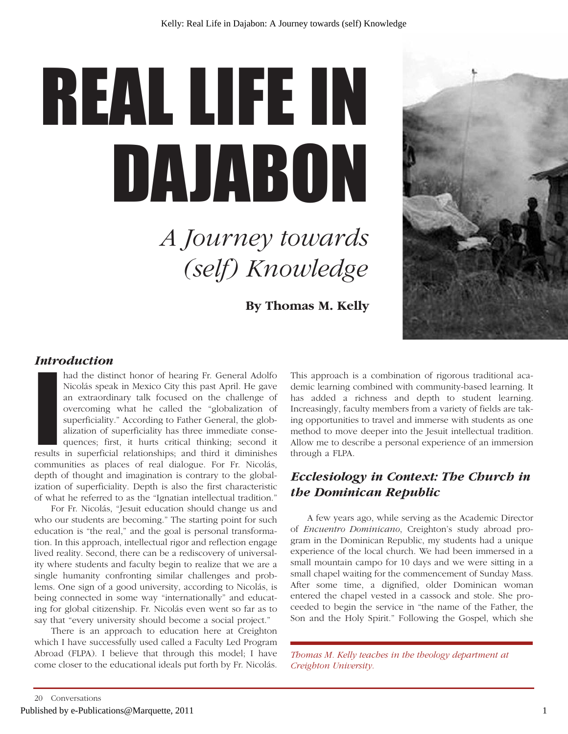# REAL LIFE IN DAJABON

## *A Journey towards (self) Knowledge*

**By Thomas M. Kelly** 



#### *Introduction*

had the distinct honor of hearing Fr. General Adolfo<br>Nicolás speak in Mexico City this past April. He gave<br>an extraordinary talk focused on the challenge of<br>overcoming what he called the "globalization of<br>superficiality." had the distinct honor of hearing Fr. General Adolfo Nicolás speak in Mexico City this past April. He gave an extraordinary talk focused on the challenge of overcoming what he called the "globalization of superficiality." According to Father General, the globalization of superficiality has three immediate consequences; first, it hurts critical thinking; second it

communities as places of real dialogue. For Fr. Nicolás, depth of thought and imagination is contrary to the globalization of superficiality. Depth is also the first characteristic of what he referred to as the "Ignatian intellectual tradition."

For Fr. Nicolás, "Jesuit education should change us and who our students are becoming." The starting point for such education is "the real," and the goal is personal transformation. In this approach, intellectual rigor and reflection engage lived reality. Second, there can be a rediscovery of universality where students and faculty begin to realize that we are a single humanity confronting similar challenges and problems. One sign of a good university, according to Nicolás, is being connected in some way "internationally" and educating for global citizenship. Fr. Nicolás even went so far as to say that "every university should become a social project."

There is an approach to education here at Creighton which I have successfully used called a Faculty Led Program Abroad (FLPA). I believe that through this model; I have come closer to the educational ideals put forth by Fr. Nicolás. This approach is a combination of rigorous traditional academic learning combined with community-based learning. It has added a richness and depth to student learning. Increasingly, faculty members from a variety of fields are taking opportunities to travel and immerse with students as one method to move deeper into the Jesuit intellectual tradition. Allow me to describe a personal experience of an immersion through a FLPA.

#### *Ecclesiology in Context: The Church in the Dominican Republic*

A few years ago, while serving as the Academic Director of *Encuentro Dominicano*, Creighton's study abroad program in the Dominican Republic, my students had a unique experience of the local church. We had been immersed in a small mountain campo for 10 days and we were sitting in a small chapel waiting for the commencement of Sunday Mass. After some time, a dignified, older Dominican woman entered the chapel vested in a cassock and stole. She proceeded to begin the service in "the name of the Father, the Son and the Holy Spirit." Following the Gospel, which she

*Thomas M. Kelly teaches in the theology department at Creighton University.*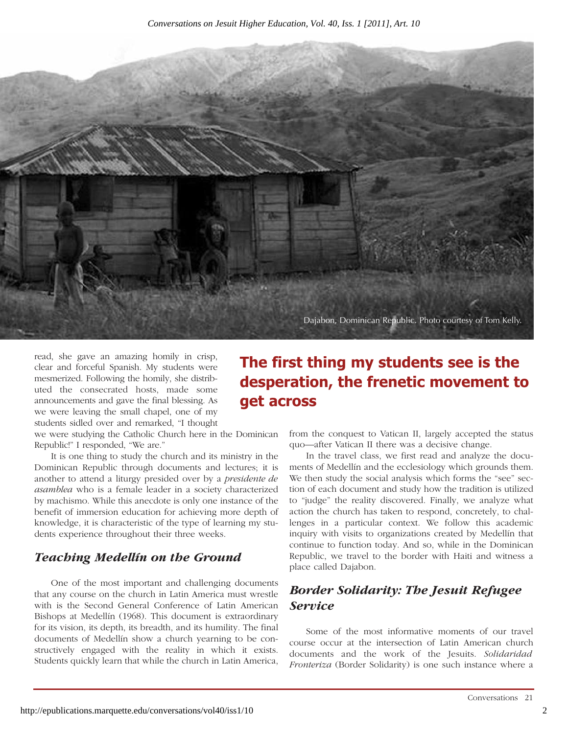

read, she gave an amazing homily in crisp, clear and forceful Spanish. My students were mesmerized. Following the homily, she distributed the consecrated hosts, made some announcements and gave the final blessing. As we were leaving the small chapel, one of my students sidled over and remarked, "I thought

we were studying the Catholic Church here in the Dominican Republic!" I responded, "We are."

It is one thing to study the church and its ministry in the Dominican Republic through documents and lectures; it is another to attend a liturgy presided over by a *presidente de asamblea* who is a female leader in a society characterized by machismo. While this anecdote is only one instance of the benefit of immersion education for achieving more depth of knowledge, it is characteristic of the type of learning my students experience throughout their three weeks.

#### *Teaching Medellín on the Ground*

One of the most important and challenging documents that any course on the church in Latin America must wrestle with is the Second General Conference of Latin American Bishops at Medellín (1968). This document is extraordinary for its vision, its depth, its breadth, and its humility. The final documents of Medellín show a church yearning to be constructively engaged with the reality in which it exists. Students quickly learn that while the church in Latin America,

#### **The first thing my students see is the desperation, the frenetic movement to get across**

from the conquest to Vatican II, largely accepted the status quo—after Vatican II there was a decisive change.

In the travel class, we first read and analyze the documents of Medellín and the ecclesiology which grounds them. We then study the social analysis which forms the "see" section of each document and study how the tradition is utilized to "judge" the reality discovered. Finally, we analyze what action the church has taken to respond, concretely, to challenges in a particular context. We follow this academic inquiry with visits to organizations created by Medellín that continue to function today. And so, while in the Dominican Republic, we travel to the border with Haiti and witness a place called Dajabon.

#### *Border Solidarity: The Jesuit Refugee Service*

Some of the most informative moments of our travel course occur at the intersection of Latin American church documents and the work of the Jesuits. *Solidaridad Fronteriza* (Border Solidarity) is one such instance where a